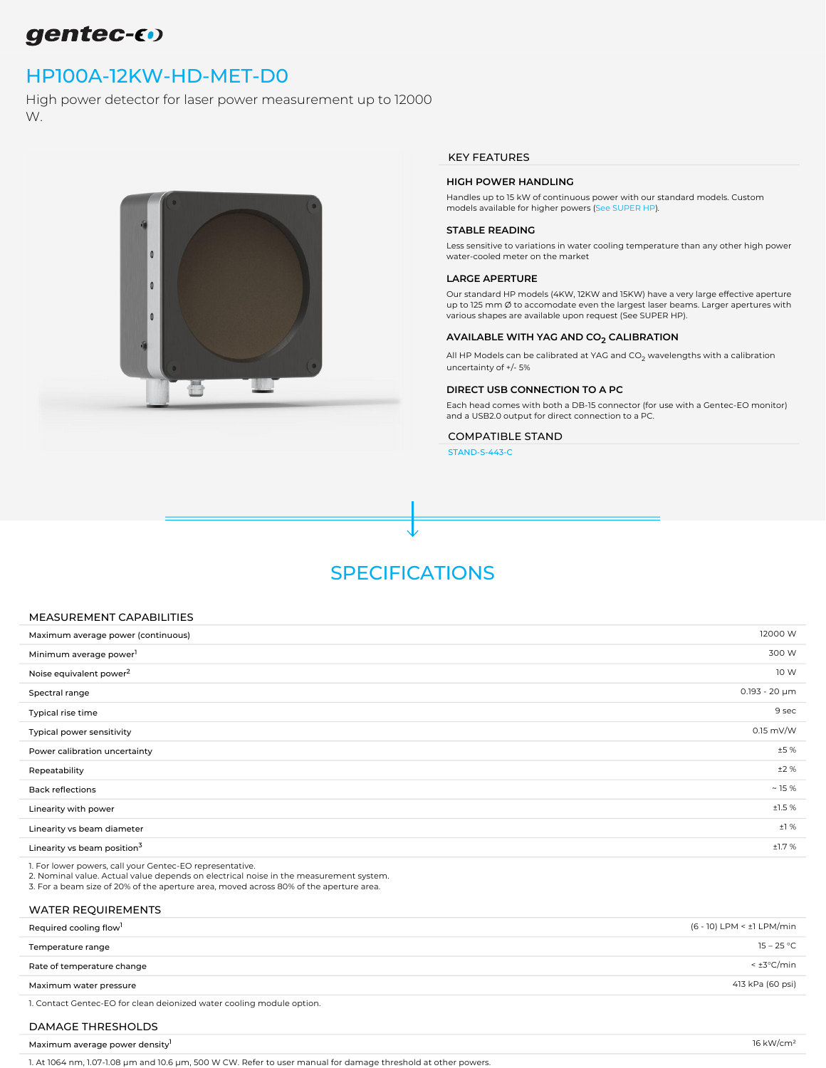## gentec-60

## [HP100A-12KW-HD-MET-D0](https://www.gentec-eo.com/products/hp100a-12kw-hd-met-d0)

High power detector for laser power measurement up to 12000 W.



#### KEY FEATURES

#### HIGH POWER HANDLING

Handles up to 15 kW of continuous power with our standard models. Custom models available for higher powers ([See SUPER HP\)](https://www.gentec-eo.com/search?filter=HP280A-30KW-HD,%20HP210A-25KW-HD&scope=products).

#### STABLE READING

Less sensitive to variations in water cooling temperature than any other high power water-cooled meter on the market

#### LARGE APERTURE

Our standard HP models (4KW, 12KW and 15KW) have a very large effective aperture up to 125 mm Ø to accomodate even the largest laser beams. Larger apertures with various shapes are available upon request (See SUPER HP).

#### AVAILABLE WITH YAG AND CO<sub>2</sub> CALIBRATION

All HP Models can be calibrated at YAG and CO $_2$  wavelengths with a calibration uncertainty of +/- 5%

#### DIRECT USB CONNECTION TO A PC

Each head comes with both a DB-15 connector (for use with a Gentec-EO monitor) and a USB2.0 output for direct connection to a PC.

### COMPATIBLE STAND

[STAND-S-443-C](https://www.gentec-eo.com/products/stand-s-443-c)

## SPECIFICATIONS

#### MEASUREMENT CAPABILITIES

| Maximum average power (continuous)      | 12000 W            |
|-----------------------------------------|--------------------|
| Minimum average power <sup>1</sup>      | 300 W              |
| Noise equivalent power <sup>2</sup>     | 10 W               |
| Spectral range                          | $0.193 - 20 \mu m$ |
| Typical rise time                       | 9 sec              |
| Typical power sensitivity               | $0.15$ mV/W        |
| Power calibration uncertainty           | ±5%                |
| Repeatability                           | ±2%                |
| <b>Back reflections</b>                 | ~15%               |
| Linearity with power                    | ±1.5%              |
| Linearity vs beam diameter              | ±1%                |
| Linearity vs beam position <sup>3</sup> | ±1.7%              |
|                                         |                    |

1. For lower powers, call your Gentec-EO representative.

2. Nominal value. Actual value depends on electrical noise in the measurement system.

3. For a beam size of 20% of the aperture area, moved across 80% of the aperture area.

### WATER REQUIREMENTS

| Required cooling flow <sup>1</sup>                                    | (6 - 10) LPM < ±1 LPM/min |
|-----------------------------------------------------------------------|---------------------------|
| Temperature range                                                     | $15 - 25 °C$              |
| Rate of temperature change                                            | $< \pm 3^{\circ}$ C/min   |
| Maximum water pressure                                                | 413 kPa (60 psi)          |
| 1. Contact Gentec-EO for clean deionized water cooling module option. |                           |

### DAMAGE THRESHOLDS

| Maximum average power density | 1/11/1cm |
|-------------------------------|----------|
|-------------------------------|----------|

1. At 1064 nm, 1.07-1.08 µm and 10.6 µm, 500 W CW. Refer to user manual for damage threshold at other powers.